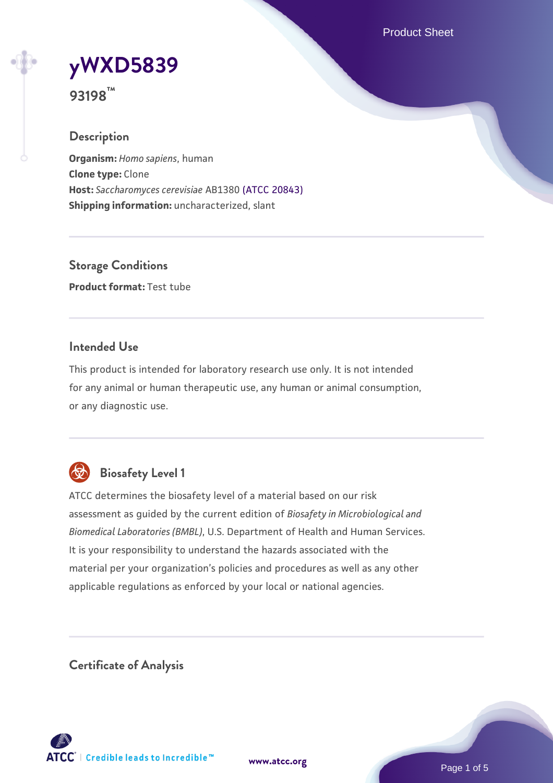Product Sheet

# **[yWXD5839](https://www.atcc.org/products/93198)**

**93198™**

# **Description**

**Organism:** *Homo sapiens*, human **Clone type:** Clone **Host:** *Saccharomyces cerevisiae* AB1380 [\(ATCC 20843\)](https://www.atcc.org/products/20843) **Shipping information:** uncharacterized, slant

**Storage Conditions Product format:** Test tube

# **Intended Use**

This product is intended for laboratory research use only. It is not intended for any animal or human therapeutic use, any human or animal consumption, or any diagnostic use.



# **Biosafety Level 1**

ATCC determines the biosafety level of a material based on our risk assessment as guided by the current edition of *Biosafety in Microbiological and Biomedical Laboratories (BMBL)*, U.S. Department of Health and Human Services. It is your responsibility to understand the hazards associated with the material per your organization's policies and procedures as well as any other applicable regulations as enforced by your local or national agencies.

**Certificate of Analysis**

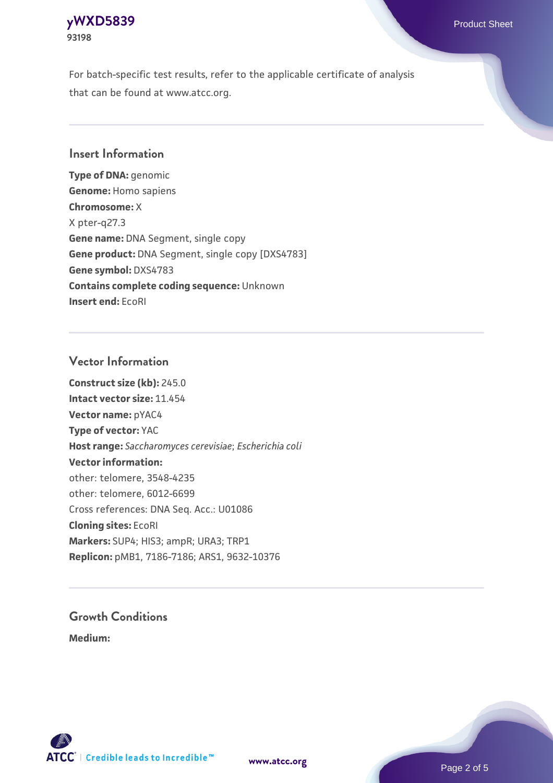### **[yWXD5839](https://www.atcc.org/products/93198)** Product Sheet **93198**

For batch-specific test results, refer to the applicable certificate of analysis that can be found at www.atcc.org.

# **Insert Information**

**Type of DNA:** genomic **Genome:** Homo sapiens **Chromosome:** X X pter-q27.3 **Gene name:** DNA Segment, single copy **Gene product:** DNA Segment, single copy [DXS4783] **Gene symbol:** DXS4783 **Contains complete coding sequence:** Unknown **Insert end:** EcoRI

# **Vector Information**

**Construct size (kb):** 245.0 **Intact vector size:** 11.454 **Vector name:** pYAC4 **Type of vector:** YAC **Host range:** *Saccharomyces cerevisiae*; *Escherichia coli* **Vector information:** other: telomere, 3548-4235 other: telomere, 6012-6699 Cross references: DNA Seq. Acc.: U01086 **Cloning sites:** EcoRI **Markers:** SUP4; HIS3; ampR; URA3; TRP1 **Replicon:** pMB1, 7186-7186; ARS1, 9632-10376

# **Growth Conditions**

**Medium:** 



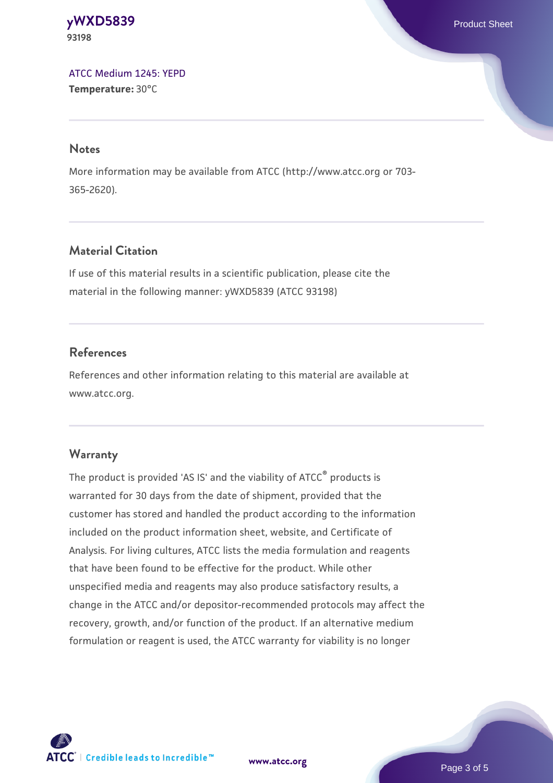**[yWXD5839](https://www.atcc.org/products/93198)** Product Sheet **93198**

[ATCC Medium 1245: YEPD](https://www.atcc.org/-/media/product-assets/documents/microbial-media-formulations/1/2/4/5/atcc-medium-1245.pdf?rev=705ca55d1b6f490a808a965d5c072196) **Temperature:** 30°C

#### **Notes**

More information may be available from ATCC (http://www.atcc.org or 703- 365-2620).

# **Material Citation**

If use of this material results in a scientific publication, please cite the material in the following manner: yWXD5839 (ATCC 93198)

# **References**

References and other information relating to this material are available at www.atcc.org.

#### **Warranty**

The product is provided 'AS IS' and the viability of ATCC® products is warranted for 30 days from the date of shipment, provided that the customer has stored and handled the product according to the information included on the product information sheet, website, and Certificate of Analysis. For living cultures, ATCC lists the media formulation and reagents that have been found to be effective for the product. While other unspecified media and reagents may also produce satisfactory results, a change in the ATCC and/or depositor-recommended protocols may affect the recovery, growth, and/or function of the product. If an alternative medium formulation or reagent is used, the ATCC warranty for viability is no longer

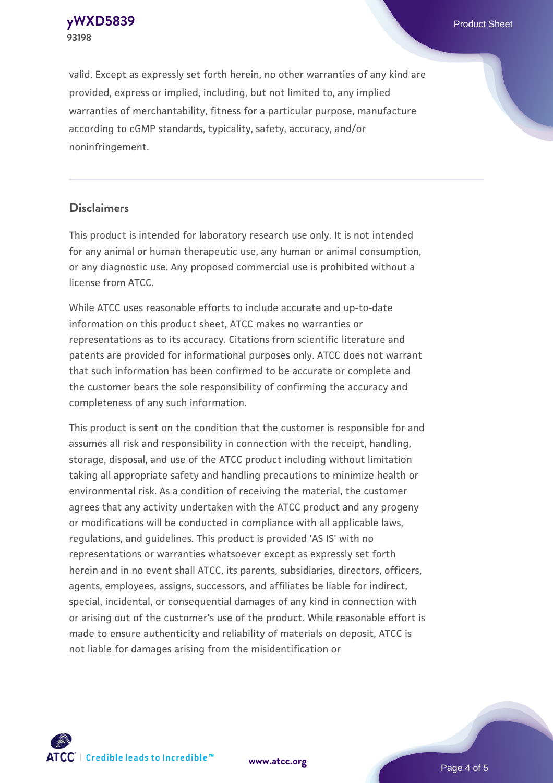**[yWXD5839](https://www.atcc.org/products/93198)** Product Sheet **93198**

valid. Except as expressly set forth herein, no other warranties of any kind are provided, express or implied, including, but not limited to, any implied warranties of merchantability, fitness for a particular purpose, manufacture according to cGMP standards, typicality, safety, accuracy, and/or noninfringement.

#### **Disclaimers**

This product is intended for laboratory research use only. It is not intended for any animal or human therapeutic use, any human or animal consumption, or any diagnostic use. Any proposed commercial use is prohibited without a license from ATCC.

While ATCC uses reasonable efforts to include accurate and up-to-date information on this product sheet, ATCC makes no warranties or representations as to its accuracy. Citations from scientific literature and patents are provided for informational purposes only. ATCC does not warrant that such information has been confirmed to be accurate or complete and the customer bears the sole responsibility of confirming the accuracy and completeness of any such information.

This product is sent on the condition that the customer is responsible for and assumes all risk and responsibility in connection with the receipt, handling, storage, disposal, and use of the ATCC product including without limitation taking all appropriate safety and handling precautions to minimize health or environmental risk. As a condition of receiving the material, the customer agrees that any activity undertaken with the ATCC product and any progeny or modifications will be conducted in compliance with all applicable laws, regulations, and guidelines. This product is provided 'AS IS' with no representations or warranties whatsoever except as expressly set forth herein and in no event shall ATCC, its parents, subsidiaries, directors, officers, agents, employees, assigns, successors, and affiliates be liable for indirect, special, incidental, or consequential damages of any kind in connection with or arising out of the customer's use of the product. While reasonable effort is made to ensure authenticity and reliability of materials on deposit, ATCC is not liable for damages arising from the misidentification or



**[www.atcc.org](http://www.atcc.org)**

Page 4 of 5